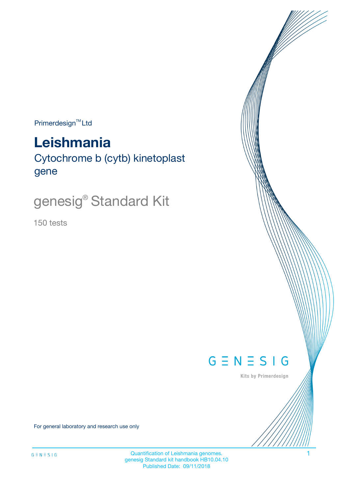$Primerdesign^{TM}$ Ltd

# **Leishmania**

Cytochrome b (cytb) kinetoplast gene

# genesig® Standard Kit

150 tests



Kits by Primerdesign

For general laboratory and research use only

Quantification of Leishmania genomes. 1 genesig Standard kit handbook HB10.04.10 Published Date: 09/11/2018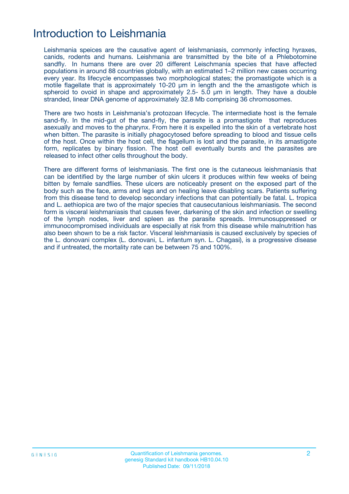## Introduction to Leishmania

Leishmania speices are the causative agent of leishmaniasis, commonly infecting hyraxes, canids, rodents and humans. Leishmania are transmitted by the bite of a Phlebotomine sandfly. In humans there are over 20 different Leischmania species that have affected populations in around 88 countries globally, with an estimated 1–2 million new cases occurring every year. Its lifecycle encompasses two morphological states; the promastigote which is a motile flagellate that is approximately 10-20  $\mu$ m in length and the the amastigote which is spheroid to ovoid in shape and approximately 2.5- 5.0 µm in length. They have a double stranded, linear DNA genome of approximately 32.8 Mb comprising 36 chromosomes.

There are two hosts in Leishmania's protozoan lifecycle. The intermediate host is the female sand-fly. In the mid-gut of the sand-fly, the parasite is a promastigote that reproduces asexually and moves to the pharynx. From here it is expelled into the skin of a vertebrate host when bitten. The parasite is initially phagocytosed before spreading to blood and tissue cells of the host. Once within the host cell, the flagellum is lost and the parasite, in its amastigote form, replicates by binary fission. The host cell eventually bursts and the parasites are released to infect other cells throughout the body.

There are different forms of leishmaniasis. The first one is the cutaneous leishmaniasis that can be identified by the large number of skin ulcers it produces within few weeks of being bitten by female sandflies. These ulcers are noticeably present on the exposed part of the body such as the face, arms and legs and on healing leave disabling scars. Patients suffering from this disease tend to develop secondary infections that can potentially be fatal. L. tropica and L. aethiopica are two of the major species that causecutanious leishmaniasis. The second form is visceral leishmaniasis that causes fever, darkening of the skin and infection or swelling of the lymph nodes, liver and spleen as the parasite spreads. Immunosuppressed or immunocompromised individuals are especially at risk from this disease while malnutrition has also been shown to be a risk factor. Visceral leishmaniasis is caused exclusively by species of the L. donovani complex (L. donovani, L. infantum syn. L. Chagasi), is a progressive disease and if untreated, the mortality rate can be between 75 and 100%.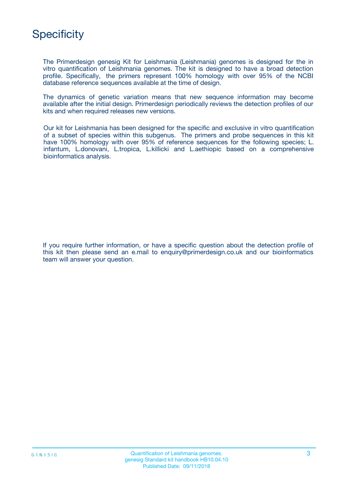## **Specificity**

The Primerdesign genesig Kit for Leishmania (Leishmania) genomes is designed for the in vitro quantification of Leishmania genomes. The kit is designed to have a broad detection profile. Specifically, the primers represent 100% homology with over 95% of the NCBI database reference sequences available at the time of design.

The dynamics of genetic variation means that new sequence information may become available after the initial design. Primerdesign periodically reviews the detection profiles of our kits and when required releases new versions.

Our kit for Leishmania has been designed for the specific and exclusive in vitro quantification of a subset of species within this subgenus. The primers and probe sequences in this kit have 100% homology with over 95% of reference sequences for the following species; L. infantum, L.donovani, L.tropica, L.killicki and L.aethiopic based on a comprehensive bioinformatics analysis.

If you require further information, or have a specific question about the detection profile of this kit then please send an e.mail to enquiry@primerdesign.co.uk and our bioinformatics team will answer your question.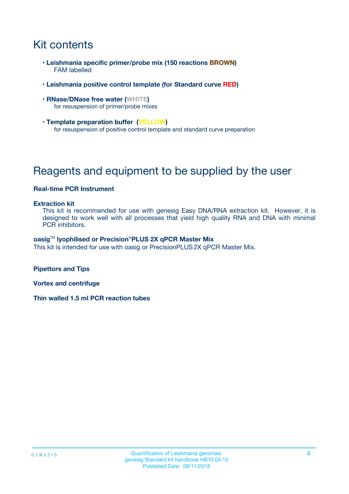# Kit contents

- **Leishmania specific primer/probe mix (150 reactions BROWN)** FAM labelled
- **Leishmania positive control template (for Standard curve RED)**
- **RNase/DNase free water (WHITE)** for resuspension of primer/probe mixes
- **Template preparation buffer (YELLOW)** for resuspension of positive control template and standard curve preparation

# Reagents and equipment to be supplied by the user

#### **Real-time PCR Instrument**

#### **Extraction kit**

This kit is recommended for use with genesig Easy DNA/RNA extraction kit. However, it is designed to work well with all processes that yield high quality RNA and DNA with minimal PCR inhibitors.

#### **oasig**TM **lyophilised or Precision**®**PLUS 2X qPCR Master Mix**

This kit is intended for use with oasig or PrecisionPLUS2X qPCR Master Mix.

**Pipettors and Tips**

**Vortex and centrifuge**

**Thin walled 1.5 ml PCR reaction tubes**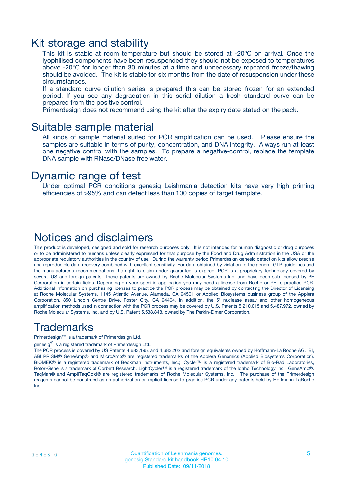### Kit storage and stability

This kit is stable at room temperature but should be stored at -20ºC on arrival. Once the lyophilised components have been resuspended they should not be exposed to temperatures above -20°C for longer than 30 minutes at a time and unnecessary repeated freeze/thawing should be avoided. The kit is stable for six months from the date of resuspension under these circumstances.

If a standard curve dilution series is prepared this can be stored frozen for an extended period. If you see any degradation in this serial dilution a fresh standard curve can be prepared from the positive control.

Primerdesign does not recommend using the kit after the expiry date stated on the pack.

### Suitable sample material

All kinds of sample material suited for PCR amplification can be used. Please ensure the samples are suitable in terms of purity, concentration, and DNA integrity. Always run at least one negative control with the samples. To prepare a negative-control, replace the template DNA sample with RNase/DNase free water.

### Dynamic range of test

Under optimal PCR conditions genesig Leishmania detection kits have very high priming efficiencies of >95% and can detect less than 100 copies of target template.

### Notices and disclaimers

This product is developed, designed and sold for research purposes only. It is not intended for human diagnostic or drug purposes or to be administered to humans unless clearly expressed for that purpose by the Food and Drug Administration in the USA or the appropriate regulatory authorities in the country of use. During the warranty period Primerdesign genesig detection kits allow precise and reproducible data recovery combined with excellent sensitivity. For data obtained by violation to the general GLP guidelines and the manufacturer's recommendations the right to claim under guarantee is expired. PCR is a proprietary technology covered by several US and foreign patents. These patents are owned by Roche Molecular Systems Inc. and have been sub-licensed by PE Corporation in certain fields. Depending on your specific application you may need a license from Roche or PE to practice PCR. Additional information on purchasing licenses to practice the PCR process may be obtained by contacting the Director of Licensing at Roche Molecular Systems, 1145 Atlantic Avenue, Alameda, CA 94501 or Applied Biosystems business group of the Applera Corporation, 850 Lincoln Centre Drive, Foster City, CA 94404. In addition, the 5' nuclease assay and other homogeneous amplification methods used in connection with the PCR process may be covered by U.S. Patents 5,210,015 and 5,487,972, owned by Roche Molecular Systems, Inc, and by U.S. Patent 5,538,848, owned by The Perkin-Elmer Corporation.

### Trademarks

Primerdesign™ is a trademark of Primerdesign Ltd.

genesig $^\circledR$  is a registered trademark of Primerdesign Ltd.

The PCR process is covered by US Patents 4,683,195, and 4,683,202 and foreign equivalents owned by Hoffmann-La Roche AG. BI, ABI PRISM® GeneAmp® and MicroAmp® are registered trademarks of the Applera Genomics (Applied Biosystems Corporation). BIOMEK® is a registered trademark of Beckman Instruments, Inc.; iCycler™ is a registered trademark of Bio-Rad Laboratories, Rotor-Gene is a trademark of Corbett Research. LightCycler™ is a registered trademark of the Idaho Technology Inc. GeneAmp®, TaqMan® and AmpliTaqGold® are registered trademarks of Roche Molecular Systems, Inc., The purchase of the Primerdesign reagents cannot be construed as an authorization or implicit license to practice PCR under any patents held by Hoffmann-LaRoche Inc.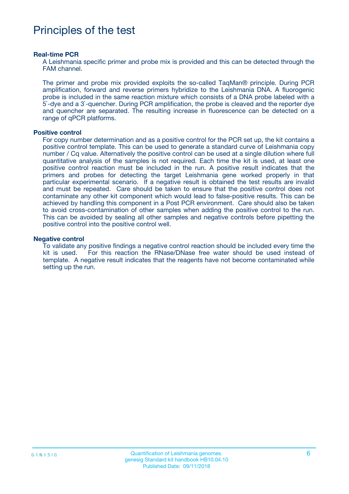### Principles of the test

#### **Real-time PCR**

A Leishmania specific primer and probe mix is provided and this can be detected through the FAM channel.

The primer and probe mix provided exploits the so-called TaqMan® principle. During PCR amplification, forward and reverse primers hybridize to the Leishmania DNA. A fluorogenic probe is included in the same reaction mixture which consists of a DNA probe labeled with a 5`-dye and a 3`-quencher. During PCR amplification, the probe is cleaved and the reporter dye and quencher are separated. The resulting increase in fluorescence can be detected on a range of qPCR platforms.

#### **Positive control**

For copy number determination and as a positive control for the PCR set up, the kit contains a positive control template. This can be used to generate a standard curve of Leishmania copy number / Cq value. Alternatively the positive control can be used at a single dilution where full quantitative analysis of the samples is not required. Each time the kit is used, at least one positive control reaction must be included in the run. A positive result indicates that the primers and probes for detecting the target Leishmania gene worked properly in that particular experimental scenario. If a negative result is obtained the test results are invalid and must be repeated. Care should be taken to ensure that the positive control does not contaminate any other kit component which would lead to false-positive results. This can be achieved by handling this component in a Post PCR environment. Care should also be taken to avoid cross-contamination of other samples when adding the positive control to the run. This can be avoided by sealing all other samples and negative controls before pipetting the positive control into the positive control well.

#### **Negative control**

To validate any positive findings a negative control reaction should be included every time the kit is used. For this reaction the RNase/DNase free water should be used instead of template. A negative result indicates that the reagents have not become contaminated while setting up the run.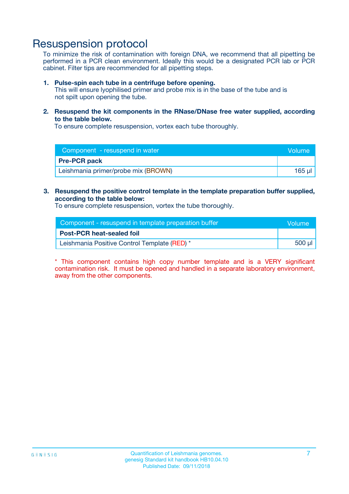### Resuspension protocol

To minimize the risk of contamination with foreign DNA, we recommend that all pipetting be performed in a PCR clean environment. Ideally this would be a designated PCR lab or PCR cabinet. Filter tips are recommended for all pipetting steps.

#### **1. Pulse-spin each tube in a centrifuge before opening.**

This will ensure lyophilised primer and probe mix is in the base of the tube and is not spilt upon opening the tube.

**2. Resuspend the kit components in the RNase/DNase free water supplied, according to the table below.**

To ensure complete resuspension, vortex each tube thoroughly.

| Component - resuspend in water      | <b>Nolume</b> |
|-------------------------------------|---------------|
| <b>Pre-PCR pack</b>                 |               |
| Leishmania primer/probe mix (BROWN) | 165 ul        |

#### **3. Resuspend the positive control template in the template preparation buffer supplied, according to the table below:**

To ensure complete resuspension, vortex the tube thoroughly.

| Component - resuspend in template preparation buffer |        |  |
|------------------------------------------------------|--------|--|
| <b>Post-PCR heat-sealed foil</b>                     |        |  |
| Leishmania Positive Control Template (RED) *         | 500 µl |  |

\* This component contains high copy number template and is a VERY significant contamination risk. It must be opened and handled in a separate laboratory environment, away from the other components.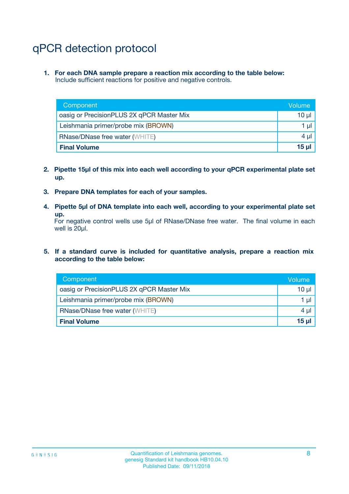# qPCR detection protocol

**1. For each DNA sample prepare a reaction mix according to the table below:** Include sufficient reactions for positive and negative controls.

| Component                                 | Volume          |
|-------------------------------------------|-----------------|
| oasig or PrecisionPLUS 2X qPCR Master Mix | 10 $\mu$        |
| Leishmania primer/probe mix (BROWN)       | 1 $\mu$         |
| <b>RNase/DNase free water (WHITE)</b>     | $4 \mu$         |
| <b>Final Volume</b>                       | 15 <sub>µ</sub> |

- **2. Pipette 15µl of this mix into each well according to your qPCR experimental plate set up.**
- **3. Prepare DNA templates for each of your samples.**
- **4. Pipette 5µl of DNA template into each well, according to your experimental plate set up.**

For negative control wells use 5µl of RNase/DNase free water. The final volume in each well is 20µl.

**5. If a standard curve is included for quantitative analysis, prepare a reaction mix according to the table below:**

| Component                                 | Volume     |
|-------------------------------------------|------------|
| oasig or PrecisionPLUS 2X qPCR Master Mix | 10 µl      |
| Leishmania primer/probe mix (BROWN)       | 1 µI       |
| <b>RNase/DNase free water (WHITE)</b>     | $4 \mu$    |
| <b>Final Volume</b>                       | $15$ $\mu$ |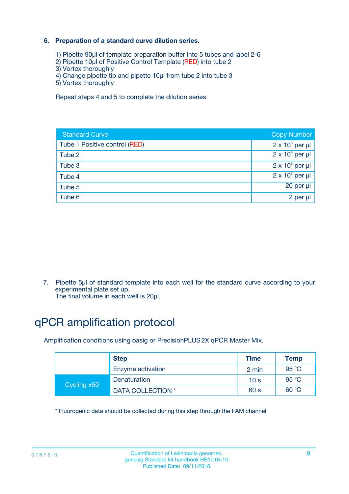### **6. Preparation of a standard curve dilution series.**

- 1) Pipette 90µl of template preparation buffer into 5 tubes and label 2-6
- 2) Pipette 10µl of Positive Control Template (RED) into tube 2
- 3) Vortex thoroughly
- 4) Change pipette tip and pipette 10µl from tube 2 into tube 3
- 5) Vortex thoroughly

Repeat steps 4 and 5 to complete the dilution series

| <b>Standard Curve</b>         | <b>Copy Number</b>     |
|-------------------------------|------------------------|
| Tube 1 Positive control (RED) | $2 \times 10^5$ per µl |
| Tube 2                        | $2 \times 10^4$ per µl |
| Tube 3                        | $2 \times 10^3$ per µl |
| Tube 4                        | $2 \times 10^2$ per µl |
| Tube 5                        | 20 per µl              |
| Tube 6                        | 2 per ul               |

7. Pipette 5µl of standard template into each well for the standard curve according to your experimental plate set up.

The final volume in each well is 20µl.

# qPCR amplification protocol

Amplification conditions using oasig or PrecisionPLUS2X qPCR Master Mix.

|             | <b>Step</b>       | <b>Time</b>     | Temp    |
|-------------|-------------------|-----------------|---------|
|             | Enzyme activation | 2 min           | 95 °C   |
| Cycling x50 | Denaturation      | 10 <sub>s</sub> | 95 $°C$ |
|             | DATA COLLECTION * | 60 s            | 60 °C   |

\* Fluorogenic data should be collected during this step through the FAM channel